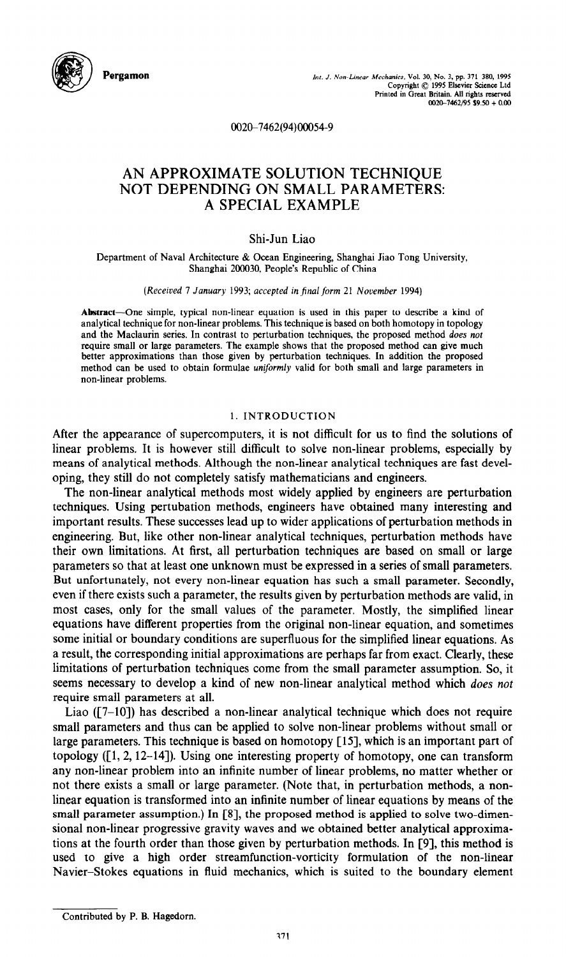

**Pergamon** *ht. J. Non-Lmeor* Mechanics. Vol. 30, No. 3, pp. 371-380, 1995 Copyright © 1995 Elsevier Science Ltd<br>Printed in Great Britain. All rights reserved  $0020 - 7462/95$  \$9.50 + 0.00

**002&7462(94)OQO54-9** 

# AN APPROXIMATE SOLUTION TECHNIQUE NOT DEPENDING ON SMALL PARAMETERS: A SPECIAL EXAMPLE

# Shi-Jun Liao

Department of Naval Architecture & Ocean Engineering, Shanghai Jiao Tong University, Shanghai 200030, People's Republic of China

(Received 7 January 1993; accepted in *finalform* 21 November 1994)

**Abstract-One simple, typical** non-linear equation is used in this paper to describe a kind of analytical technique for non-linear problems. This technique is based on both homotopy in topology and the Maclaurin series. In contrast to perturbation techniques, the proposed method *does not*  require small or large parameters. The example shows that the proposed method can give much better approximations than those given by perturbation techniques. In addition the proposed method can be used to obtain formulae uniformly valid for both small and large parameters in non-linear problems.

## 1. INTRODUCTION

After the appearance of supercomputers, it is not difficult for us to find the solutions of linear problems. It is however still difficult to solve non-linear problems, especially by means of analytical methods. Although the non-linear analytical techniques are fast developing, they still do not completely satisfy mathematicians and engineers.

The non-linear analytical methods most widely applied by engineers are perturbation techniques. Using pertubation methods, engineers have obtained many interesting and important results. These successes lead up to wider applications of perturbation methods in engineering. But, like other non-linear analytical techniques, perturbation methods have their own limitations. At first, all perturbation techniques are based on small or large parameters so that at least one unknown must be expressed in a series of small parameters. But unfortunately, not every non-linear equation has such a small parameter. Secondly, even if there exists such a parameter, the results given by perturbation methods are valid, in most cases, only for the small values of the parameter. Mostly, the simplified linear equations have different properties from the original non-linear equation, and sometimes some initial or boundary conditions are superfluous for the simplified linear equations. As a result, the corresponding initial approximations are perhaps far from exact. Clearly, these limitations of perturbation techniques come from the small parameter assumption. So, it seems necessary to develop a kind of new non-linear analytical method which does not require small parameters at all.

Liao ([7-lo]) has described a non-linear analytical technique which does not require small parameters and thus can be applied to solve non-linear problems without small or large parameters. This technique is based on homotopy [ 151, which is an important part of topology  $(1, 2, 12-14)$ . Using one interesting property of homotopy, one can transform any non-linear problem into an infinite number of linear problems, no matter whether or not there exists a small or large parameter. (Note that, in perturbation methods, a nonlinear equation is transformed into an infinite number of linear equations by means of the small parameter assumption.) In [S], the proposed method is applied to solve two-dimensional non-linear progressive gravity waves and we obtained better analytical approximations at the fourth order than those given by perturbation methods. In [9], this method is used to give a high order streamfunction-vorticity formulation of the non-linear Navier-Stokes equations in fluid mechanics, which is suited to the boundary element

Contributed by P. B. Hagedorn.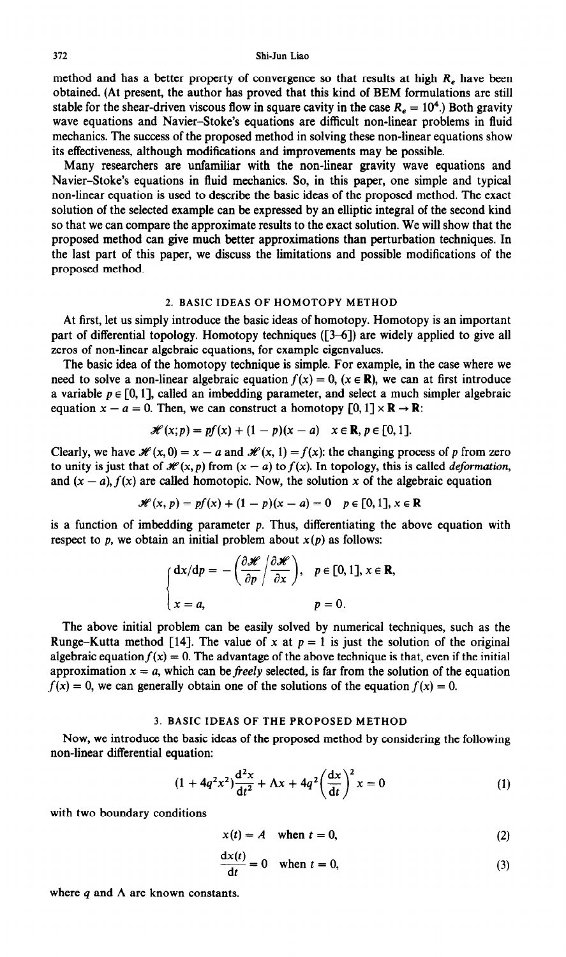method and has a better property of convergence so that results at high *R,* have been obtained. (At present, the author has proved that this kind of BEM formulations are still stable for the shear-driven viscous flow in square cavity in the case  $R_e = 10^4$ .) Both gravity wave equations and Navier-Stoke's equations are difficult non-linear problems in fluid mechanics. The success of the proposed method in solving these non-linear equations show its effectiveness, although modifications and improvements may be possible.

Many researchers are unfamiliar with the non-linear gravity wave equations and Navier-Stoke's equations in fluid mechanics. So, in this paper, one simple and typical non-linear equation is used to describe the basic ideas of the proposed method. The exact solution of the selected example can be expressed by an elliptic integral of the second kind so that we can compare the approximate results to the exact solution. We will show that the proposed method can give much better approximations than perturbation techniques. In the last part of this paper, we discuss the limitations and possible modifications of the proposed method.

### 2. BASIC IDEAS OF HOMOTOPY METHOD

At first, let us simply introduce the basic ideas of homotopy. Homotopy is an important part of differential topology. Homotopy techniques ([3-6]) are widely applied to give all zeros of non-linear algebraic equations, for example eigenvalues.

The basic idea of the homotopy technique is simple. For example, in the case where we need to solve a non-linear algebraic equation  $f(x) = 0$ ,  $(x \in \mathbb{R})$ , we can at first introduce a variable  $p \in [0, 1]$ , called an imbedding parameter, and select a much simpler algebraic equation  $x - a = 0$ . Then, we can construct a homotopy  $[0, 1] \times \mathbb{R} \rightarrow \mathbb{R}$ :

$$
\mathscr{H}(x;p) = pf(x) + (1-p)(x-a) \quad x \in \mathbb{R}, p \in [0,1].
$$

Clearly, we have  $\mathcal{H}(x, 0) = x - a$  and  $\mathcal{H}(x, 1) = f(x)$ : the changing process of *p* from zero to unity is just that of  $\mathcal{H}(x, p)$  from  $(x - a)$  to  $f(x)$ . In topology, this is called *deformation*, and  $(x - a)$ ,  $f(x)$  are called homotopic. Now, the solution x of the algebraic equation

$$
\mathscr{H}(x, p) = pf(x) + (1 - p)(x - a) = 0 \quad p \in [0, 1], x \in \mathbb{R}
$$

is a function of imbedding parameter  $p$ . Thus, differentiating the above equation with respect to  $p$ , we obtain an initial problem about  $x(p)$  as follows:

$$
\begin{cases} dx/dp = -\left(\frac{\partial \mathscr{H}}{\partial p} / \frac{\partial \mathscr{H}}{\partial x}\right), & p \in [0,1], x \in \mathbb{R}, \\ x = a, & p = 0. \end{cases}
$$

The above initial problem can be easily solved by numerical techniques, such as the Runge-Kutta method [14]. The value of x at  $p = 1$  is just the solution of the original algebraic equation  $f(x) = 0$ . The advantage of the above technique is that, even if the initial approximation  $x = a$ , which can be *freely* selected, is far from the solution of the equation  $f(x) = 0$ , we can generally obtain one of the solutions of the equation  $f(x) = 0$ .

#### 3. BASIC IDEAS OF THE PROPOSED METHOD

Now, we introduce the basic ideas of the proposed method by considering the following non-linear differential equation:

$$
(1 + 4q^2x^2)\frac{d^2x}{dt^2} + \Lambda x + 4q^2 \left(\frac{dx}{dt}\right)^2 x = 0
$$
 (1)

with two boundary conditions

$$
x(t) = A \quad \text{when } t = 0,
$$
 (2)

$$
\frac{dx(t)}{dt} = 0 \quad \text{when } t = 0,
$$
 (3)

where  $q$  and  $\Lambda$  are known constants.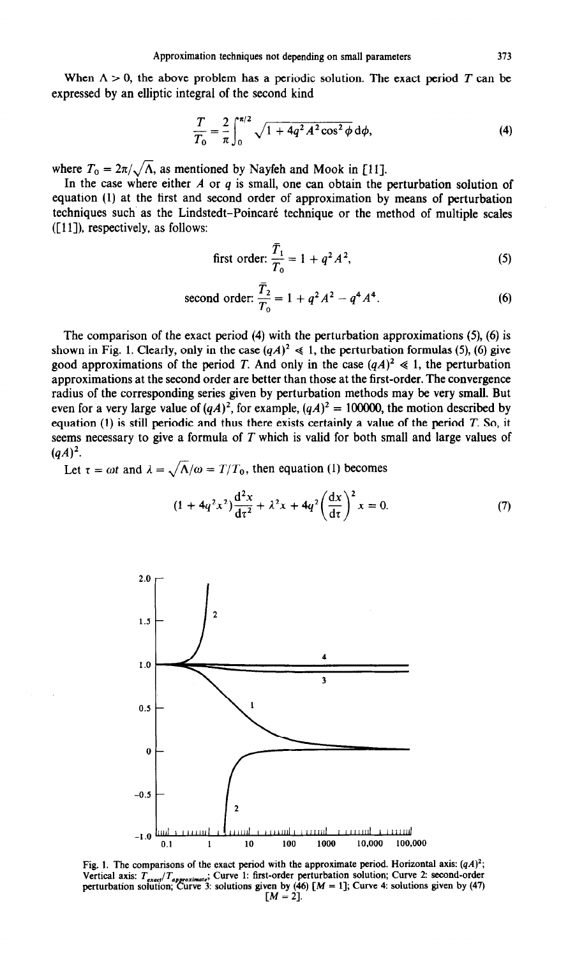When  $\Lambda > 0$ , the above problem has a periodic solution. The exact period *T* can be expressed by an elliptic integral of the second kind

$$
\frac{T}{T_0} = \frac{2}{\pi} \int_0^{\pi/2} \sqrt{1 + 4q^2 A^2 \cos^2 \phi} \, d\phi,\tag{4}
$$

where  $T_0 = 2\pi/\sqrt{\Lambda}$ , as mentioned by Nayfeh and Mook in [11].

In the case where either *A* or *q* is small, one can obtain the perturbation solution of equation (1) at the first and second order of approximation by means of perturbation techniques such as the Lindstedt-Poincare technique or the method of multiple scales  $([11])$ , respectively, as follows:

first order: 
$$
\frac{\bar{T}_1}{T_0} = 1 + q^2 A^2
$$
, (5)

second order: 
$$
\frac{\bar{T}_2}{T_0} = 1 + q^2 A^2 - q^4 A^4.
$$
 (6)

The comparison of the exact period (4) with the perturbation approximations (5), (6) is shown in Fig. 1. Clearly, only in the case  $(qA)^2 \ll 1$ , the perturbation formulas (5), (6) give good approximations of the period *T*. And only in the case  $(qA)^2 \ll 1$ , the perturbation approximations at the second order are better than those at the first-order. The convergence radius of the corresponding series given by perturbation methods may be very small. But even for a very large value of  $(qA)^2$ , for example,  $(qA)^2 = 100000$ , the motion described by equation (1) is still periodic and thus there exists certainly a value of the period *T. So,* it seems necessary to give a formula of *T* which is valid for both small and large values of  $(qA)^2$ .

Let  $\tau = \omega t$  and  $\lambda = \sqrt{\Lambda/\omega} = T/T_0$ , then equation (1) becomes

$$
(1 + 4q^2x^2)\frac{d^2x}{d\tau^2} + \lambda^2x + 4q^2\left(\frac{dx}{d\tau}\right)^2x = 0.
$$
 (7)



Fig. 1. The comparisons of the exact period with the approximate period. Horizontal axis:  $(qA)^2$ ; Vertical axis:  $T_{exact}/T_{aporoximate}$ ; Curve 1: first-order perturbation solution; Curve 2: second-order **perturbation solution; Curve 3: solutions given by (46)**  $[M = 1]$ **; Curve 4: solutions given by (47)**  $[M = 2].$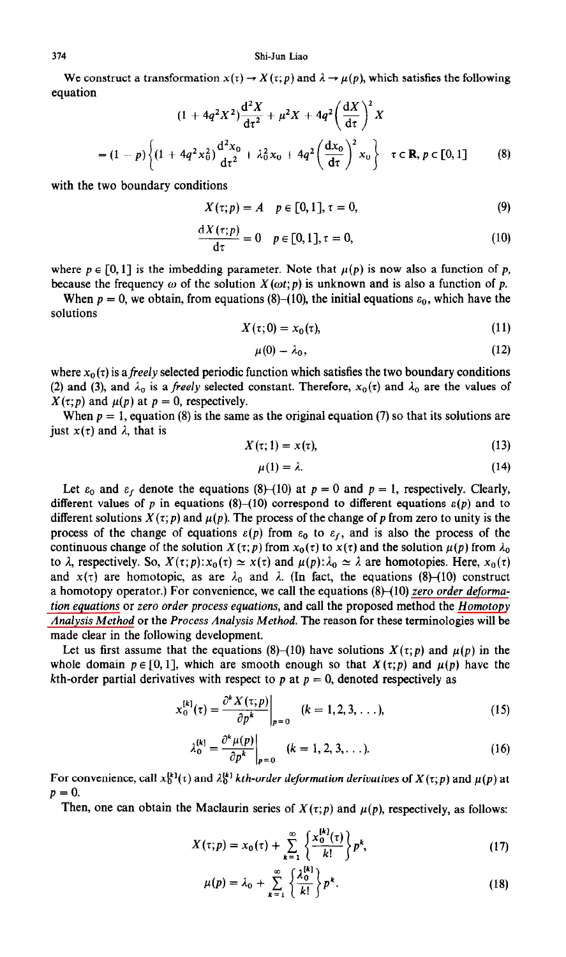#### 314 Shi-Jun Liao

We construct a transformation  $x(t) \to X(t; p)$  and  $\lambda \to \mu(p)$ , which satisfies the following equation

$$
(1 + 4q^2X^2)\frac{d^2X}{dt^2} + \mu^2X + 4q^2\left(\frac{dX}{dt}\right)^2X
$$
  
=  $(1 - p)\left\{(1 + 4q^2x_0^2)\frac{d^2x_0}{dt^2} + \lambda_0^2x_0 + 4q^2\left(\frac{dx_0}{dt}\right)^2x_0\right\} \quad \tau \in \mathbf{R}, p \in [0, 1]$  (8)

with the two boundary conditions

$$
X(\tau; p) = A \quad p \in [0, 1], \tau = 0,
$$
\n(9)

$$
\frac{\mathrm{d}X(\tau;p)}{\mathrm{d}\tau} = 0 \quad p \in [0,1], \tau = 0,
$$
\n(10)

where  $p \in [0, 1]$  is the imbedding parameter. Note that  $\mu(p)$  is now also a function of p, because the frequency  $\omega$  of the solution  $X(\omega t; p)$  is unknown and is also a function of p.

When  $p = 0$ , we obtain, from equations (8)–(10), the initial equations  $\varepsilon_0$ , which have the solutions

$$
X(\tau;0) = x_0(\tau),\tag{11}
$$

$$
\mu(0) = \lambda_0, \tag{12}
$$

where  $x_0(\tau)$  is a freely selected periodic function which satisfies the two boundary conditions (2) and (3), and  $\lambda_0$  is a *freely* selected constant. Therefore,  $x_0(\tau)$  and  $\lambda_0$  are the values of  $X(\tau;p)$  and  $\mu(p)$  at  $p = 0$ , respectively.

When  $p = 1$ , equation (8) is the same as the original equation (7) so that its solutions are just  $x(\tau)$  and  $\lambda$ , that is

$$
X(\tau; 1) = x(\tau), \tag{13}
$$

$$
\mu(1) = \lambda. \tag{14}
$$

Let  $\varepsilon_0$  and  $\varepsilon_f$  denote the equations (8)-(10) at  $p = 0$  and  $p = 1$ , respectively. Clearly, different values of *p* in equations (8)-(10) correspond to different equations  $\varepsilon(p)$  and to different solutions  $X(\tau;p)$  and  $\mu(p)$ . The process of the change of p from zero to unity is the process of the change of equations  $\varepsilon(p)$  from  $\varepsilon_0$  to  $\varepsilon_f$ , and is also the process of the continuous change of the solution  $X(\tau;p)$  from  $x_0(\tau)$  to  $x(\tau)$  and the solution  $\mu(p)$  from  $\lambda_0$ to  $\lambda$ , respectively. So,  $X(\tau;p): x_0(\tau) \simeq x(\tau)$  and  $\mu(p): \lambda_0 \simeq \lambda$  are homotopies. Here,  $x_0(\tau)$ and  $x(\tau)$  are homotopic, as are  $\lambda_0$  and  $\lambda$ . (In fact, the equations (8)-(10) construct a homotopy operator.) For convenience, we call the equations (8)-(10) zero order deforma*tion equations* or zero *order process equations,* and call the proposed method the *Homotopy Analysis Method* or the *Process Analysis Method.* The reason for these terminologies will be made clear in the following development.

Let us first assume that the equations  $(8)$ – $(10)$  have solutions  $X(\tau; p)$  and  $\mu(p)$  in the whole domain  $p \in [0, 1]$ , which are smooth enough so that  $X(\tau;p)$  and  $\mu(p)$  have the kth-order partial derivatives with respect to *p* at  $p = 0$ , denoted respectively as

$$
x_0^{[k]}(\tau) = \frac{\partial^k X(\tau;p)}{\partial p^k}\bigg|_{p=0} \quad (k=1,2,3,\ldots), \tag{15}
$$

$$
\lambda_0^{[k]} = \frac{\partial^k \mu(p)}{\partial p^k}\bigg|_{p=0} \quad (k=1,2,3,\ldots). \tag{16}
$$

For convenience, call  $x_0^{[k]}(\tau)$  and  $\lambda_0^{[k]}$  *kth-order deformation derivatives* of  $X(\tau;p)$  and  $\mu(p)$  at  $p = 0.$ 

Then, one can obtain the Maclaurin series of  $X(\tau;p)$  and  $\mu(p)$ , respectively, as follows:

$$
X(\tau;p) = x_0(\tau) + \sum_{k=1}^{\infty} \left\{ \frac{x_0^{(k)}(\tau)}{k!} \right\} p^k,
$$
 (17)

$$
\mu(p) = \lambda_0 + \sum_{k=1}^{\infty} \left\{ \frac{\lambda_0^{k}}{k!} \right\} p^k.
$$
 (18)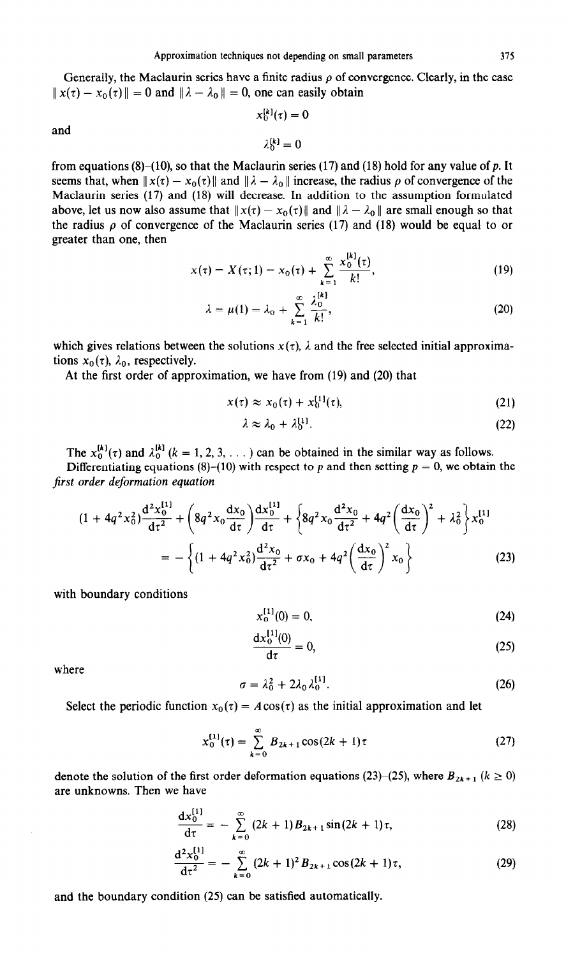Generally, the Maclaurin series have a finite radius  $\rho$  of convergence. Clearly, in the case  $||x(\tau) - x_0(\tau)|| = 0$  and  $||\lambda - \lambda_0|| = 0$ , one can easily obtain

 $x_0^{[k]}(\tau) = 0$ 

 $\lambda^{[k]} = 0$ 

and

from equations  $(8)-(10)$ , so that the Maclaurin series (17) and (18) hold for any value of p. It seems that, when  $||x(\tau) - x_0(\tau)||$  and  $||\lambda - \lambda_0||$  increase, the radius  $\rho$  of convergence of the Maclaurin series (17) and (18) will decrease. In addition to the assumption formulated above, let us now also assume that  $||x(\tau) - x_0(\tau)||$  and  $||\lambda - \lambda_0||$  are small enough so that the radius  $\rho$  of convergence of the Maclaurin series (17) and (18) would be equal to or greater than one, then

$$
x(\tau) = X(\tau; 1) = x_0(\tau) + \sum_{k=1}^{\infty} \frac{x_0^{[k]}(\tau)}{k!},
$$
\n(19)

$$
\lambda = \mu(1) = \lambda_0 + \sum_{k=1}^{\infty} \frac{\lambda_0^{(k)}}{k!},
$$
 (20)

which gives relations between the solutions  $x(t)$ ,  $\lambda$  and the free selected initial approximations  $x_0(\tau)$ ,  $\lambda_0$ , respectively.

At the first order of approximation, we have from (19) and (20) that

$$
x(\tau) \approx x_0(\tau) + x_0^{[1]}(\tau), \tag{21}
$$

$$
\lambda \approx \lambda_0 + \lambda_0^{[1]}.\tag{22}
$$

The  $x_0^{[k]}(\tau)$  and  $\lambda_0^{[k]}$  ( $k = 1, 2, 3, ...$ ) can be obtained in the similar way as follows. Differentiating equations (8)-(10) with respect to p and then setting  $p = 0$ , we obtain the

*first order deformation equation*   $d^2x^{[1]}$   $\qquad$   $dx^{\dagger}dx^{[1]}$ 

$$
(1 + 4q^2x_0^2)\frac{d^2x_0}{dt^2} + \left(8q^2x_0\frac{dx_0}{dt}\right)\frac{dx_0}{dt} + \left\{8q^2x_0\frac{d^2x_0}{dt^2} + 4q^2\left(\frac{dx_0}{dt}\right)^2 + \lambda_0^2\right\}x_0^{[1]}
$$
  
= 
$$
-\left\{(1 + 4q^2x_0^2)\frac{d^2x_0}{dt^2} + \sigma x_0 + 4q^2\left(\frac{dx_0}{dt}\right)^2x_0\right\}
$$
(23)

with boundary conditions

$$
x_0^{[1]}(0) = 0,\t\t(24)
$$

$$
\frac{dx_0^{11}(0)}{d\tau} = 0,
$$
\n(25)

where

$$
\sigma = \lambda_0^2 + 2\lambda_0 \lambda_0^{[1]}.
$$

Select the periodic function  $x_0(\tau) = A\cos(\tau)$  as the initial approximation and let

$$
x_0^{[1]}(\tau) = \sum_{k=0}^{\infty} B_{2k+1} \cos(2k+1)\tau
$$
 (27)

denote the solution of the first order deformation equations (23)–(25), where  $B_{2k+1}$  ( $k \ge 0$ ) are unknowns. Then we have

$$
\frac{dx_0^{[1]}}{d\tau} = -\sum_{k=0}^{\infty} (2k+1) B_{2k+1} \sin(2k+1)\tau, \tag{28}
$$

$$
\frac{d^2 x_0^{[1]}}{dt^2} = -\sum_{k=0}^{\infty} (2k+1)^2 B_{2k+1} \cos(2k+1)\tau, \qquad (29)
$$

and the boundary condition (25) can be satisfied automatically.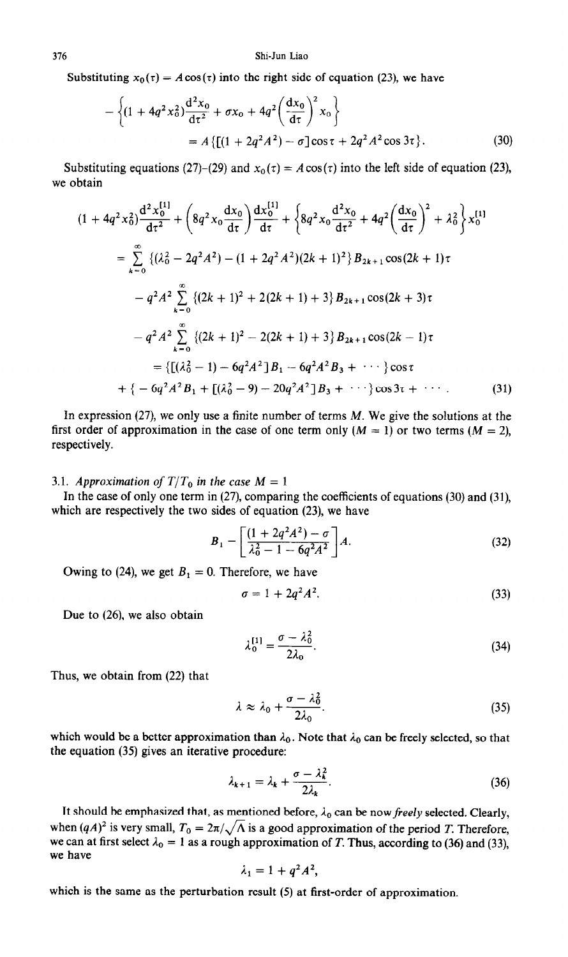Substituting  $x_0(\tau) = A\cos(\tau)$  into the right side of equation (23), we have

$$
-\left\{(1+4q^2x_0^2)\frac{d^2x_0}{dz^2}+\sigma x_0+4q^2\left(\frac{dx_0}{d\tau}\right)^2 x_0\right\}
$$
  
=  $A\left\{\left[(1+2q^2A^2)-\sigma\right]\cos\tau+2q^2A^2\cos 3\tau\right\}.$  (30)

Substituting equations (27)-(29) and  $x_0(\tau) = A \cos(\tau)$  into the left side of equation (23), we obtain

$$
(1 + 4q^2x_0^2)\frac{d^2x_0^{[1]}}{dt^2} + \left(8q^2x_0\frac{dx_0}{dt}\right)\frac{dx_0^{[1]}}{dt} + \left\{8q^2x_0\frac{d^2x_0}{dt^2} + 4q^2\left(\frac{dx_0}{dt}\right)^2 + \lambda_0^2\right\}x_0^{[1]}
$$
  
\n
$$
= \sum_{k=0}^{\infty} \left\{(\lambda_0^2 - 2q^2A^2) - (1 + 2q^2A^2)(2k+1)^2\right\}B_{2k+1}\cos(2k+1)\tau
$$
  
\n
$$
-q^2A^2\sum_{k=0}^{\infty} \left\{(2k+1)^2 + 2(2k+1) + 3\right\}B_{2k+1}\cos(2k+3)\tau
$$
  
\n
$$
-q^2A^2\sum_{k=0}^{\infty} \left\{(2k+1)^2 - 2(2k+1) + 3\right\}B_{2k+1}\cos(2k-1)\tau
$$
  
\n
$$
= \left\{\left[(\lambda_0^2 - 1) - 6q^2A^2\right]B_1 - 6q^2A^2B_3 + \cdots \right\}\cos\tau
$$
  
\n
$$
+ \left\{-6q^2A^2B_1 + [(\lambda_0^2 - 9) - 20q^2A^2\right]B_3 + \cdots \right\}\cos 3\tau + \cdots
$$
 (31)

In expression (27), we only use a finite number of terms *M.* We give the solutions at the first order of approximation in the case of one term only  $(M = 1)$  or two terms  $(M = 2)$ , respectively.

# 3.1. *Approximation of T/T*<sub>0</sub> in the case  $M = 1$

In the case of only one term in (27), comparing the coefficients of equations (30) and (31), which are respectively the two sides of equation (23), we have

$$
B_1 = \left[ \frac{(1 + 2q^2A^2) - \sigma}{\lambda_0^2 - 1 - 6q^2A^2} \right] A.
$$
 (32)

Owing to (24), we get  $B_1 = 0$ . Therefore, we have

$$
\sigma = 1 + 2q^2 A^2. \tag{33}
$$

Due to (26), we also obtain

$$
\lambda_0^{[1]} = \frac{\sigma - \lambda_0^2}{2\lambda_0}.\tag{34}
$$

Thus, we obtain from (22) that

$$
\lambda \approx \lambda_0 + \frac{\sigma - \lambda_0^2}{2\lambda_0}.\tag{35}
$$

which would be a better approximation than  $\lambda_0$ . Note that  $\lambda_0$  can be freely selected, so that the equation (35) gives an iterative procedure:

$$
\lambda_{k+1} = \lambda_k + \frac{\sigma - \lambda_k^2}{2\lambda_k}.
$$
 (36)

It should be emphasized that, as mentioned before,  $\lambda_0$  can be now freely selected. Clearly, when  $(qA)^2$  is very small,  $T_0 = 2\pi/\sqrt{\Lambda}$  is a good approximation of the period T. Therefore, we can at first select  $\lambda_0 = 1$  as a rough approximation of *T*. Thus, according to (36) and (33), we have

$$
\lambda_1=1+q^2A^2,
$$

which is the same as the perturbation result (5) at first-order of approximation.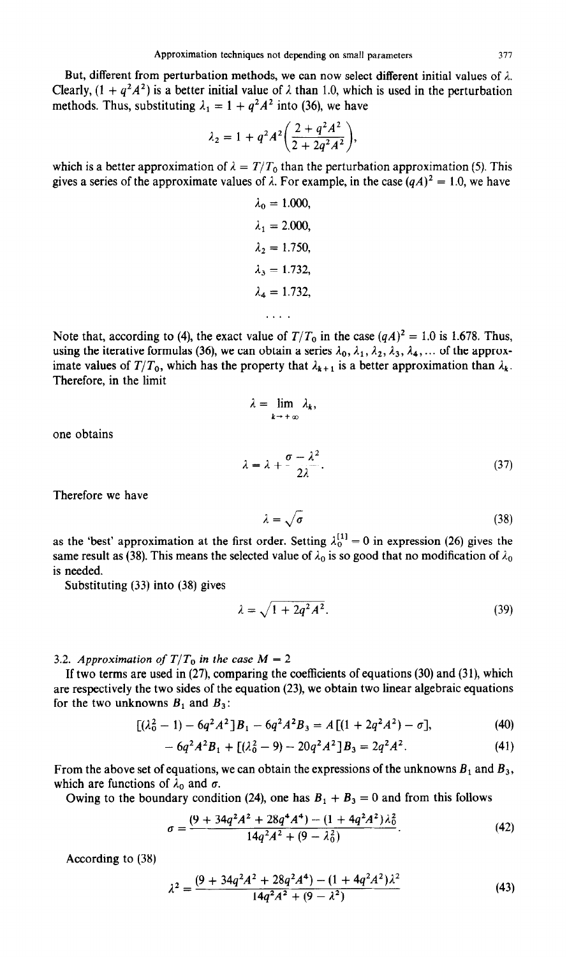But, different from perturbation methods, we can now select different initial values of  $\lambda$ . Clearly,  $(1 + q^2 A^2)$  is a better initial value of  $\lambda$  than 1.0, which is used in the perturbation methods. Thus, substituting  $\lambda_1 = 1 + q^2 A^2$  into (36), we have

$$
\lambda_2 = 1 + q^2 A^2 \bigg( \frac{2 + q^2 A^2}{2 + 2q^2 A^2} \bigg),
$$

which is a better approximation of  $\lambda = T/T_0$  than the perturbation approximation (5). This gives a series of the approximate values of  $\lambda$ . For example, in the case  $(qA)^2 = 1.0$ , we have

> $\lambda_0 = 1.000,$  $\lambda_1 = 2.000,$  $\lambda_2 = 1.750,$  $\lambda_3 = 1.732$ ,  $\lambda_4 = 1.732,$ . . . .

Note that, according to (4), the exact value of  $T/T_0$  in the case  $(qA)^2 = 1.0$  is 1.678. Thus, using the iterative formulas (36), we can obtain a series  $\lambda_0$ ,  $\lambda_1$ ,  $\lambda_2$ ,  $\lambda_3$ ,  $\lambda_4$ , ... of the approximate values of  $T/T_0$ , which has the property that  $\lambda_{k+1}$  is a better approximation than  $\lambda_k$ . Therefore, in the limit

$$
\lambda = \lim_{k \to +\infty} \lambda_k,
$$
  

$$
\lambda = \lambda + \frac{\sigma - \lambda^2}{2\lambda}.
$$
 (37)

Therefore we have

one obtains

$$
\lambda = \sqrt{\sigma} \tag{38}
$$

as the 'best' approximation at the first order. Setting  $\lambda_0^{[1]} = 0$  in expression (26) gives the same result as (38). This means the selected value of  $\lambda_0$  is so good that no modification of  $\lambda_0$ is needed.

Substituting (33) into (38) gives

$$
\lambda = \sqrt{1 + 2q^2 A^2}.\tag{39}
$$

3.2. *Approximation of T/T*<sub>0</sub> in the case  $M = 2$ 

If two terms are used in (27), comparing the coefficients of equations (30) and (31), which are respectively the two sides of the equation (23), we obtain two linear algebraic equations for the two unknowns  $B_1$  and  $B_3$ :

$$
[(\lambda_0^2 - 1) - 6q^2 A^2]B_1 - 6q^2 A^2 B_3 = A[(1 + 2q^2 A^2) - \sigma],
$$
 (40)

$$
-6q^2A^2B_1 + [(\lambda_0^2 - 9) - 20q^2A^2]B_3 = 2q^2A^2.
$$
 (41)

From the above set of equations, we can obtain the expressions of the unknowns  $B_1$  and  $B_3$ , which are functions of  $\lambda_0$  and  $\sigma$ .

Owing to the boundary condition (24), one has  $B_1 + B_3 = 0$  and from this follows

$$
\sigma = \frac{(9 + 34q^2A^2 + 28q^4A^4) - (1 + 4q^2A^2)\lambda_0^2}{14q^2A^2 + (9 - \lambda_0^2)}.
$$
\n(42)

According to (38)

$$
\lambda^2 = \frac{(9 + 34q^2A^2 + 28q^2A^4) - (1 + 4q^2A^2)\lambda^2}{14q^2A^2 + (9 - \lambda^2)}
$$
(43)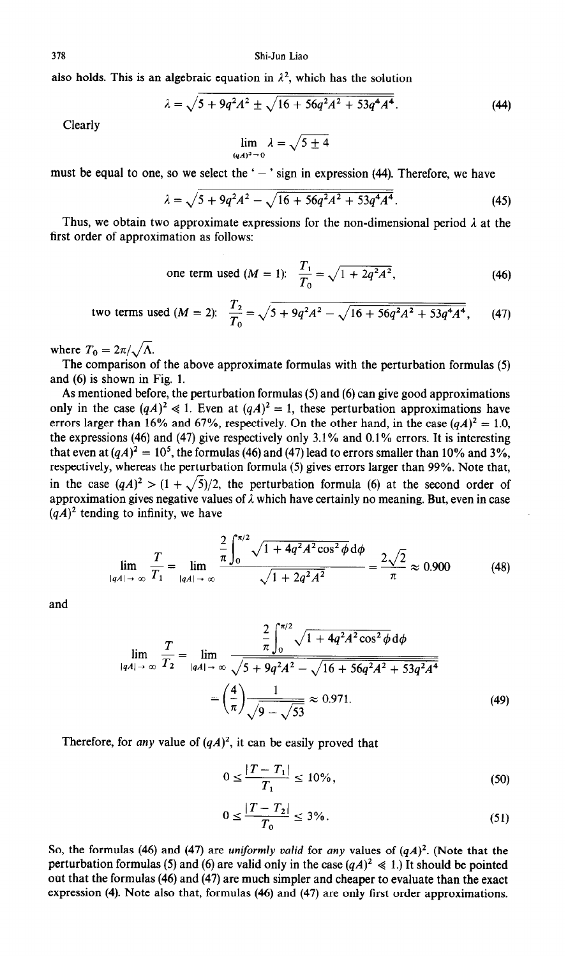also holds. This is an algebraic equation in  $\lambda^2$ , which has the solution

$$
\lambda = \sqrt{5 + 9q^2A^2 \pm \sqrt{16 + 56q^2A^2 + 53q^4A^4}}.
$$
 (44)

Clearly

$$
\lim_{(qA)^2 \to 0} \lambda = \sqrt{5 \pm 4}
$$

must be equal to one, so we select the ' $-$ ' sign in expression (44). Therefore, we have

$$
\lambda = \sqrt{5 + 9q^2A^2} - \sqrt{16 + 56q^2A^2 + 53q^4A^4}.
$$
 (45)

Thus, we obtain two approximate expressions for the non-dimensional period  $\lambda$  at the first order of approximation as follows:

one term used (*M* = 1): 
$$
\frac{T_1}{T_0} = \sqrt{1 + 2q^2 A^2}
$$
, (46)

two terms used (*M* = 2): 
$$
\frac{T_2}{T_0} = \sqrt{5 + 9q^2A^2 - \sqrt{16 + 56q^2A^2 + 53q^4A^4}},
$$
 (47)

where  $T_0 = 2\pi/\sqrt{\Lambda}$ .

The comparison of the above approximate formulas with the perturbation formulas (5) and (6) is shown in Fig. 1.

As mentioned before, the perturbation formulas (5) and (6) can give good approximations only in the case  $(qA)^2 \ll 1$ . Even at  $(qA)^2 = 1$ , these perturbation approximations have errors larger than 16% and 67%, respectively. On the other hand, in the case  $(qA)^2 = 1.0$ , the expressions (46) and (47) give respectively only 3.1% and 0.1% errors. It is interesting that even at  $(qA)^2 = 10^5$ , the formulas (46) and (47) lead to errors smaller than 10% and 3%, respectively, whereas the perturbation formula (5) gives errors larger than 99%. Note that, in the case  $(qA)^2 > (1 + \sqrt{5})/2$ , the perturbation formula (6) at the second order of approximation gives negative values of  $\lambda$  which have certainly no meaning. But, even in case  $(qA)^2$  tending to infinity, we have

$$
\lim_{|qA| \to \infty} \frac{T}{T_1} = \lim_{|qA| \to \infty} \frac{\frac{2}{\pi} \int_0^{\pi/2} \sqrt{1 + 4q^2 A^2 \cos^2 \phi} \, \mathrm{d}\phi}{\sqrt{1 + 2q^2 A^2}} = \frac{2\sqrt{2}}{\pi} \approx 0.900 \tag{48}
$$

and

$$
\lim_{|qA| \to \infty} \frac{T}{T_2} = \lim_{|qA| \to \infty} \frac{\frac{2}{\pi} \int_0^{\pi/2} \sqrt{1 + 4q^2 A^2 \cos^2 \phi} \, d\phi}{\sqrt{5 + 9q^2 A^2} - \sqrt{16 + 56q^2 A^2 + 53q^2 A^4}} = \left(\frac{4}{\pi}\right) \frac{1}{\sqrt{9 - \sqrt{53}}} \approx 0.971. \tag{49}
$$

Therefore, for *any* value of  $(qA)^2$ , it can be easily proved that

$$
0 \le \frac{|T - T_1|}{T_1} \le 10\%,\tag{50}
$$

$$
0 \le \frac{|T - T_2|}{T_0} \le 3\% \tag{51}
$$

So, the formulas (46) and (47) are *uniformly valid* for *any* values of  $(qA)^2$ . (Note that the perturbation formulas (5) and (6) are valid only in the case  $(qA)^2 \le 1$ .) It should be pointed out that the formulas (46) and (47) are much simpler and cheaper to evaluate than the exact expression (4). Note also that, formulas (46) and (47) are only first order approximations.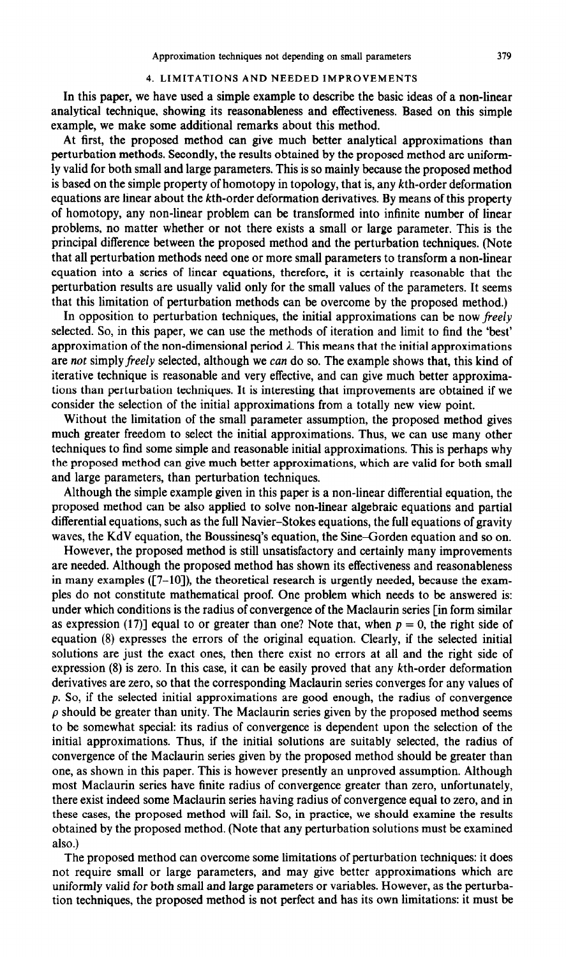# 4. LIMITATIONS AND NEEDED IMPROVEMENTS

In this paper, we have used a simple example to describe the basic ideas of a non-linear analytical technique, showing its reasonableness and effectiveness. Based on this simple example, we make some additional remarks about this method.

At first, the proposed method can give much better analytical approximations than perturbation methods. Secondly, the results obtained by the proposed method are uniformly valid for both small and large parameters. This is so mainly because the proposed method is based on the simple property of homotopy in topology, that is, any kth-order deformation equations are linear about the kth-order deformation derivatives. By means of this property of homotopy, any non-linear problem can be transformed into infinite number of linear problems, no matter whether or not there exists a small or large parameter. This is the principal difference between the proposed method and the perturbation techniques. (Note that all perturbation methods need one or more small parameters to transform a non-linear equation into a series of linear equations, therefore, it is certainly reasonable that the perturbation results are usually valid only for the small values of the parameters. It seems that this limitation of perturbation methods can be overcome by the proposed method.)

In opposition to perturbation techniques, the initial approximations can be now freely selected. So, in this paper, we can use the methods of iteration and limit to find the 'best' approximation of the non-dimensional period  $\lambda$ . This means that the initial approximations are not simply freely selected, although we can do so. The example shows that, this kind of iterative technique is reasonable and very effective, and can give much better approximations than perturbation techniques. It is interesting that improvements are obtained if we consider the selection of the initial approximations from a totally new view point.

Without the limitation of the small parameter assumption, the proposed method gives much greater freedom to select the initial approximations. Thus, we can use many other techniques to find some simple and reasonable initial approximations. This is perhaps why the proposed method can give much better approximations, which are valid for both small and large parameters, than perturbation techniques.

Although the simple example given in this paper is a non-linear differential equation, the proposed method can be also applied to solve non-linear algebraic equations and partial differential equations, such as the full Navier-Stokes equations, the full equations of gravity waves, the KdV equation, the Boussinesq's equation, the Sine-Gorden equation and so on.

However, the proposed method is still unsatisfactory and certainly many improvements are needed. Although the proposed method has shown its effectiveness and reasonableness in many examples  $(7-10)$ , the theoretical research is urgently needed, because the examples do not constitute mathematical proof. One problem which needs to be answered is: under which conditions is the radius of convergence of the Maclaurin series [in form similar as expression (17)] equal to or greater than one? Note that, when  $p = 0$ , the right side of equation (8) expresses the errors of the original equation. Clearly, if the selected initial solutions are just the exact ones, then there exist no errors at all and the right side of expression (8) is zero. In this case, it can be easily proved that any kth-order deformation derivatives are zero, so that the corresponding Maclaurin series converges for any values of p. So, if the selected initial approximations are good enough, the radius of convergence  $\rho$  should be greater than unity. The Maclaurin series given by the proposed method seems to be somewhat special: its radius of convergence is dependent upon the selection of the initial approximations. Thus, if the initial solutions are suitably selected, the radius of convergence of the Maclaurin series given by the proposed method should be greater than one, as shown in this paper. This is however presently an unproved assumption. Although most Maclaurin series have finite radius of convergence greater than zero, unfortunately, there exist indeed some Maclaurin series having radius of convergence equal to zero, and in these cases, the proposed method will fail. So, in practice, we should examine the results obtained by the proposed method. (Note that any perturbation solutions must be examined also.)

The proposed method can overcome some limitations of perturbation techniques: it does not require small or large parameters, and may give better approximations which are uniformly valid for both small and large parameters or variables. However, as the perturbation techniques, the proposed method is not perfect and has its own limitations: it must be